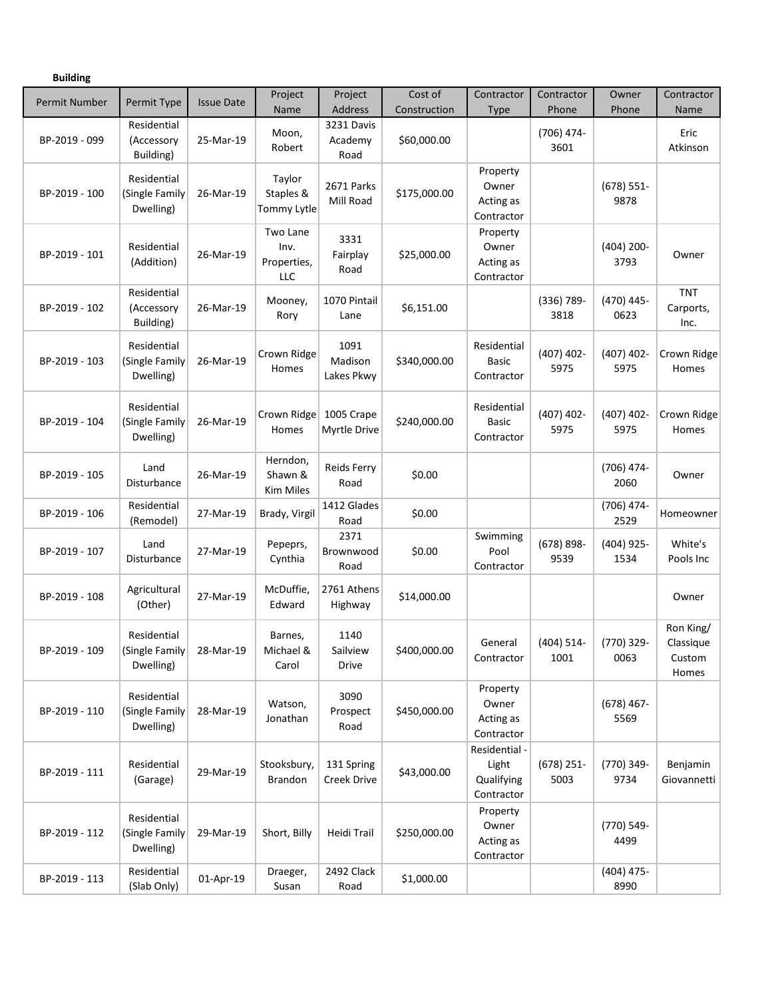| <b>Building</b>      |                                            |                   |                                        |                                  |                         |                                                    |                       |                       |                                           |
|----------------------|--------------------------------------------|-------------------|----------------------------------------|----------------------------------|-------------------------|----------------------------------------------------|-----------------------|-----------------------|-------------------------------------------|
| <b>Permit Number</b> | Permit Type                                | <b>Issue Date</b> | Project<br>Name                        | Project<br>Address               | Cost of<br>Construction | Contractor<br><b>Type</b>                          | Contractor<br>Phone   | Owner<br>Phone        | Contractor<br>Name                        |
| BP-2019 - 099        | Residential<br>(Accessory<br>Building)     | 25-Mar-19         | Moon,<br>Robert                        | 3231 Davis<br>Academy<br>Road    | \$60,000.00             |                                                    | (706) 474-<br>3601    |                       | Eric<br>Atkinson                          |
| BP-2019 - 100        | Residential<br>(Single Family<br>Dwelling) | 26-Mar-19         | Taylor<br>Staples &<br>Tommy Lytle     | 2671 Parks<br>Mill Road          | \$175,000.00            | Property<br>Owner<br>Acting as<br>Contractor       |                       | $(678) 551$ -<br>9878 |                                           |
| BP-2019 - 101        | Residential<br>(Addition)                  | 26-Mar-19         | Two Lane<br>Inv.<br>Properties,<br>LLC | 3331<br>Fairplay<br>Road         | \$25,000.00             | Property<br>Owner<br>Acting as<br>Contractor       |                       | $(404)$ 200-<br>3793  | Owner                                     |
| BP-2019 - 102        | Residential<br>(Accessory<br>Building)     | 26-Mar-19         | Mooney,<br>Rory                        | 1070 Pintail<br>Lane             | \$6,151.00              |                                                    | $(336) 789 -$<br>3818 | (470) 445-<br>0623    | <b>TNT</b><br>Carports,<br>Inc.           |
| BP-2019 - 103        | Residential<br>(Single Family<br>Dwelling) | 26-Mar-19         | Crown Ridge<br>Homes                   | 1091<br>Madison<br>Lakes Pkwy    | \$340,000.00            | Residential<br>Basic<br>Contractor                 | $(407)$ 402-<br>5975  | $(407)$ 402-<br>5975  | Crown Ridge<br>Homes                      |
| BP-2019 - 104        | Residential<br>(Single Family<br>Dwelling) | 26-Mar-19         | Crown Ridge<br>Homes                   | 1005 Crape<br>Myrtle Drive       | \$240,000.00            | Residential<br>Basic<br>Contractor                 | $(407)$ 402-<br>5975  | $(407)$ 402-<br>5975  | Crown Ridge<br>Homes                      |
| BP-2019 - 105        | Land<br>Disturbance                        | 26-Mar-19         | Herndon,<br>Shawn &<br>Kim Miles       | Reids Ferry<br>Road              | \$0.00                  |                                                    |                       | (706) 474-<br>2060    | Owner                                     |
| BP-2019 - 106        | Residential<br>(Remodel)                   | 27-Mar-19         | Brady, Virgil                          | 1412 Glades<br>Road              | \$0.00                  |                                                    |                       | (706) 474-<br>2529    | Homeowner                                 |
| BP-2019 - 107        | Land<br>Disturbance                        | 27-Mar-19         | Pepeprs,<br>Cynthia                    | 2371<br>Brownwood<br>Road        | \$0.00                  | Swimming<br>Pool<br>Contractor                     | $(678) 898 -$<br>9539 | $(404)$ 925-<br>1534  | White's<br>Pools Inc                      |
| BP-2019 - 108        | Agricultural<br>(Other)                    | 27-Mar-19         | McDuffie,<br>Edward                    | 2761 Athens<br>Highway           | \$14,000.00             |                                                    |                       |                       | Owner                                     |
| BP-2019 - 109        | Residential<br>(Single Family<br>Dwelling) | 28-Mar-19         | Barnes,<br>Michael &<br>Carol          | 1140<br>Sailview<br><b>Drive</b> | \$400,000.00            | General<br>Contractor                              | $(404) 514 -$<br>1001 | (770) 329-<br>0063    | Ron King/<br>Classique<br>Custom<br>Homes |
| BP-2019 - 110        | Residential<br>(Single Family<br>Dwelling) | 28-Mar-19         | Watson,<br>Jonathan                    | 3090<br>Prospect<br>Road         | \$450,000.00            | Property<br>Owner<br>Acting as<br>Contractor       |                       | $(678)$ 467-<br>5569  |                                           |
| BP-2019 - 111        | Residential<br>(Garage)                    | 29-Mar-19         | Stooksbury,<br><b>Brandon</b>          | 131 Spring<br><b>Creek Drive</b> | \$43,000.00             | Residential -<br>Light<br>Qualifying<br>Contractor | $(678)$ 251-<br>5003  | (770) 349-<br>9734    | Benjamin<br>Giovannetti                   |
| BP-2019 - 112        | Residential<br>(Single Family<br>Dwelling) | 29-Mar-19         | Short, Billy                           | Heidi Trail                      | \$250,000.00            | Property<br>Owner<br>Acting as<br>Contractor       |                       | (770) 549-<br>4499    |                                           |
| BP-2019 - 113        | Residential<br>(Slab Only)                 | 01-Apr-19         | Draeger,<br>Susan                      | 2492 Clack<br>Road               | \$1,000.00              |                                                    |                       | $(404)$ 475-<br>8990  |                                           |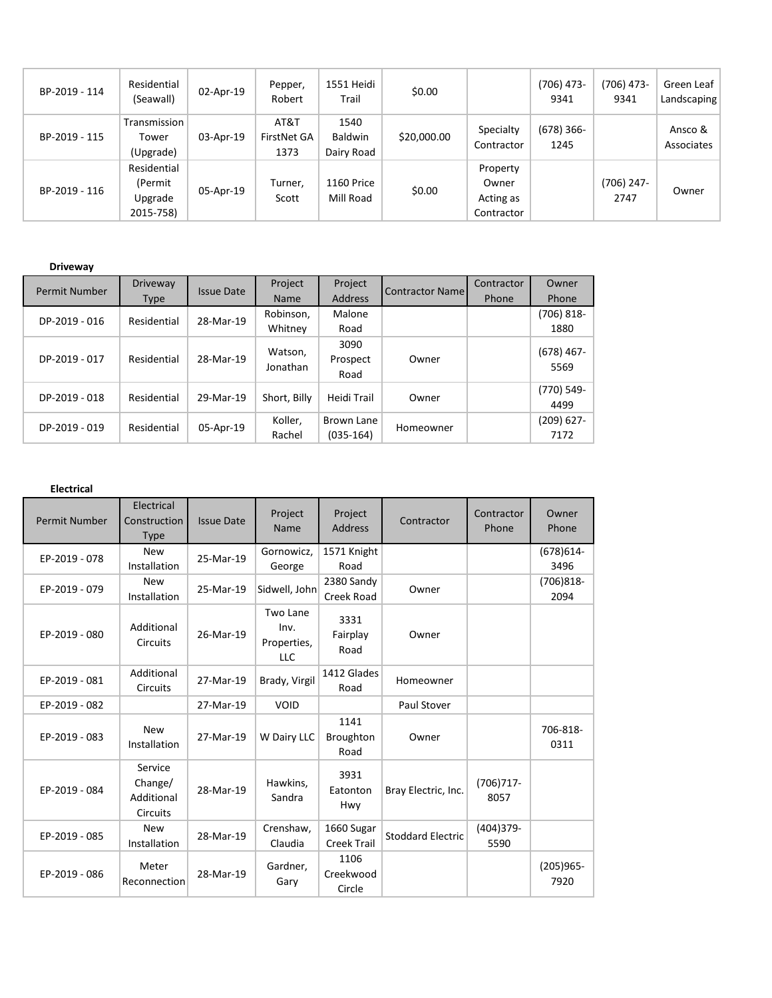| BP-2019 - 114 | Residential<br>(Seawall)                       | 02-Apr-19 | Pepper,<br>Robert           | 1551 Heidi<br>Trail           | \$0.00      |                                              | (706) 473-<br>9341   | $(706)$ 473-<br>9341 | Green Leaf<br>Landscaping |
|---------------|------------------------------------------------|-----------|-----------------------------|-------------------------------|-------------|----------------------------------------------|----------------------|----------------------|---------------------------|
| BP-2019 - 115 | Transmission<br>Tower<br>(Upgrade)             | 03-Apr-19 | AT&T<br>FirstNet GA<br>1373 | 1540<br>Baldwin<br>Dairy Road | \$20,000.00 | Specialty<br>Contractor                      | $(678)$ 366-<br>1245 |                      | Ansco &<br>Associates     |
| BP-2019 - 116 | Residential<br>(Permit<br>Upgrade<br>2015-758) | 05-Apr-19 | Turner,<br>Scott            | 1160 Price<br>Mill Road       | \$0.00      | Property<br>Owner<br>Acting as<br>Contractor |                      | $(706)$ 247-<br>2747 | Owner                     |

## **Driveway**

| Permit Number | Driveway    | Issue Date | Project             | Project                   | <b>Contractor Name</b> | Contractor | Owner                 |
|---------------|-------------|------------|---------------------|---------------------------|------------------------|------------|-----------------------|
|               | Type        |            | <b>Name</b>         | <b>Address</b>            |                        | Phone      | Phone                 |
| DP-2019 - 016 | Residential | 28-Mar-19  | Robinson,           | Malone                    |                        |            | (706) 818-            |
|               |             |            | Whitney             | Road                      |                        |            | 1880                  |
| DP-2019 - 017 | Residential | 28-Mar-19  | Watson,<br>Jonathan | 3090<br>Prospect<br>Road  | Owner                  |            | $(678)$ 467-<br>5569  |
| DP-2019 - 018 | Residential | 29-Mar-19  | Short, Billy        | Heidi Trail               | Owner                  |            | (770) 549-<br>4499    |
| DP-2019 - 019 | Residential | 05-Apr-19  | Koller,<br>Rachel   | Brown Lane<br>$(035-164)$ | Homeowner              |            | $(209) 627 -$<br>7172 |

## **Electrical**

| <b>Permit Number</b> | Electrical<br>Construction<br><b>Type</b>           | <b>Issue Date</b> | Project<br>Name                               | Project<br>Address               | Contractor               | Contractor<br>Phone | Owner<br>Phone       |
|----------------------|-----------------------------------------------------|-------------------|-----------------------------------------------|----------------------------------|--------------------------|---------------------|----------------------|
| EP-2019 - 078        | <b>New</b><br>Installation                          | 25-Mar-19         | Gornowicz,<br>George                          | 1571 Knight<br>Road              |                          |                     | $(678)614-$<br>3496  |
| EP-2019 - 079        | <b>New</b><br>Installation                          | 25-Mar-19         | Sidwell, John                                 | 2380 Sandy<br>Creek Road         | Owner                    |                     | $(706)818-$<br>2094  |
| EP-2019 - 080        | Additional<br><b>Circuits</b>                       | 26-Mar-19         | Two Lane<br>Inv.<br>Properties,<br><b>LLC</b> | 3331<br>Fairplay<br>Road         | Owner                    |                     |                      |
| EP-2019 - 081        | Additional<br><b>Circuits</b>                       | 27-Mar-19         | Brady, Virgil                                 | 1412 Glades<br>Road              | Homeowner                |                     |                      |
| EP-2019 - 082        |                                                     | 27-Mar-19         | <b>VOID</b>                                   |                                  | Paul Stover              |                     |                      |
| EP-2019 - 083        | <b>New</b><br>Installation                          | 27-Mar-19         | W Dairy LLC                                   | 1141<br><b>Broughton</b><br>Road | Owner                    |                     | 706-818-<br>0311     |
| EP-2019 - 084        | Service<br>Change/<br>Additional<br><b>Circuits</b> | 28-Mar-19         | Hawkins,<br>Sandra                            | 3931<br>Eatonton<br>Hwy          | Bray Electric, Inc.      | $(706)717-$<br>8057 |                      |
| EP-2019 - 085        | <b>New</b><br>Installation                          | 28-Mar-19         | Crenshaw,<br>Claudia                          | 1660 Sugar<br><b>Creek Trail</b> | <b>Stoddard Electric</b> | (404)379-<br>5590   |                      |
| EP-2019 - 086        | Meter<br>Reconnection                               | 28-Mar-19         | Gardner,<br>Gary                              | 1106<br>Creekwood<br>Circle      |                          |                     | $(205)965 -$<br>7920 |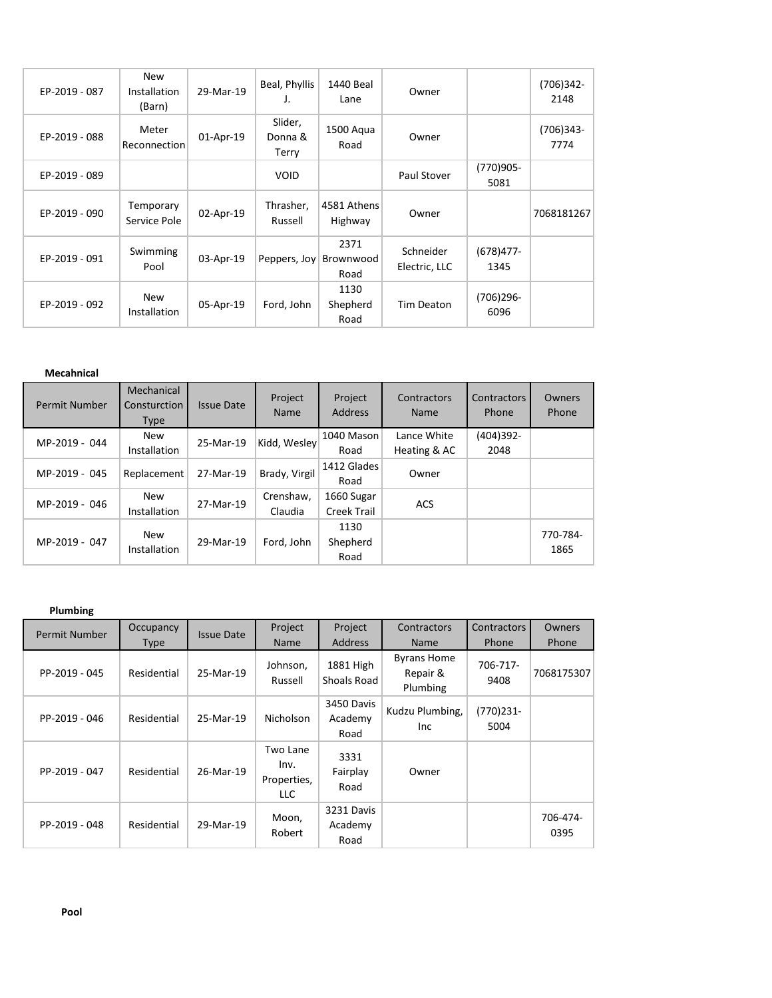| EP-2019 - 087 | <b>New</b><br>Installation<br>(Barn) | 29-Mar-19 | Beal, Phyllis<br>J.         | 1440 Beal<br>Lane         | Owner                      |                      | $(706)342 -$<br>2148 |
|---------------|--------------------------------------|-----------|-----------------------------|---------------------------|----------------------------|----------------------|----------------------|
| EP-2019 - 088 | Meter<br>Reconnection                | 01-Apr-19 | Slider,<br>Donna &<br>Terry | 1500 Aqua<br>Road         | Owner                      |                      | $(706)343-$<br>7774  |
| EP-2019 - 089 |                                      |           | <b>VOID</b>                 |                           | Paul Stover                | (770)905-<br>5081    |                      |
| EP-2019 - 090 | Temporary<br>Service Pole            | 02-Apr-19 | Thrasher,<br>Russell        | 4581 Athens<br>Highway    | Owner                      |                      | 7068181267           |
| EP-2019 - 091 | Swimming<br>Pool                     | 03-Apr-19 | Peppers, Joy                | 2371<br>Brownwood<br>Road | Schneider<br>Electric, LLC | $(678)477 -$<br>1345 |                      |
| EP-2019 - 092 | <b>New</b><br>Installation           | 05-Apr-19 | Ford, John                  | 1130<br>Shepherd<br>Road  | Tim Deaton                 | $(706)296 -$<br>6096 |                      |

## **Mecahnical**

| Permit Number | Mechanical<br>Consturction<br><b>Type</b> | <b>Issue Date</b> | Project<br>Name      | Project<br><b>Address</b> | Contractors<br>Name         | Contractors<br>Phone | Owners<br>Phone  |
|---------------|-------------------------------------------|-------------------|----------------------|---------------------------|-----------------------------|----------------------|------------------|
| MP-2019 - 044 | New<br>Installation                       | 25-Mar-19         | Kidd, Wesley         | 1040 Mason<br>Road        | Lance White<br>Heating & AC | (404)392-<br>2048    |                  |
| MP-2019 - 045 | Replacement                               | 27-Mar-19         | Brady, Virgil        | 1412 Glades<br>Road       | Owner                       |                      |                  |
| MP-2019 - 046 | New<br>Installation                       | 27-Mar-19         | Crenshaw.<br>Claudia | 1660 Sugar<br>Creek Trail | <b>ACS</b>                  |                      |                  |
| MP-2019 - 047 | New<br>Installation                       | 29-Mar-19         | Ford, John           | 1130<br>Shepherd<br>Road  |                             |                      | 770-784-<br>1865 |

## **Plumbing**

| Permit Number | Occupancy   | <b>Issue Date</b> | Project                                | Project                       | Contractors                                | <b>Contractors</b> | Owners           |
|---------------|-------------|-------------------|----------------------------------------|-------------------------------|--------------------------------------------|--------------------|------------------|
|               | <b>Type</b> |                   | Name                                   | <b>Address</b>                | <b>Name</b>                                | Phone              | Phone            |
| PP-2019 - 045 | Residential | 25-Mar-19         | Johnson,<br>Russell                    | 1881 High<br>Shoals Road      | <b>Byrans Home</b><br>Repair &<br>Plumbing | 706-717-<br>9408   | 7068175307       |
| PP-2019 - 046 | Residential | 25-Mar-19         | Nicholson                              | 3450 Davis<br>Academy<br>Road | Kudzu Plumbing,<br>Inc                     | (770)231-<br>5004  |                  |
| PP-2019 - 047 | Residential | 26-Mar-19         | Two Lane<br>Inv.<br>Properties,<br>LLC | 3331<br>Fairplay<br>Road      | Owner                                      |                    |                  |
| PP-2019 - 048 | Residential | 29-Mar-19         | Moon,<br>Robert                        | 3231 Davis<br>Academy<br>Road |                                            |                    | 706-474-<br>0395 |